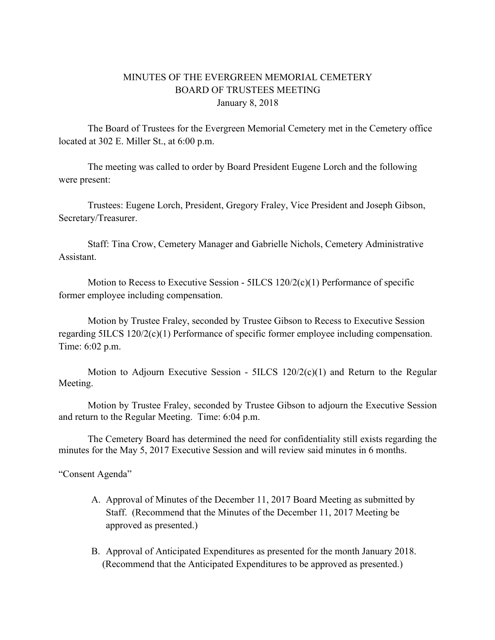## MINUTES OF THE EVERGREEN MEMORIAL CEMETERY BOARD OF TRUSTEES MEETING January 8, 2018

The Board of Trustees for the Evergreen Memorial Cemetery met in the Cemetery office located at 302 E. Miller St., at 6:00 p.m.

The meeting was called to order by Board President Eugene Lorch and the following were present:

Trustees: Eugene Lorch, President, Gregory Fraley, Vice President and Joseph Gibson, Secretary/Treasurer.

Staff: Tina Crow, Cemetery Manager and Gabrielle Nichols, Cemetery Administrative **Assistant** 

Motion to Recess to Executive Session - 5ILCS 120/2(c)(1) Performance of specific former employee including compensation.

Motion by Trustee Fraley, seconded by Trustee Gibson to Recess to Executive Session regarding 5ILCS 120/2(c)(1) Performance of specific former employee including compensation. Time: 6:02 p.m.

Motion to Adjourn Executive Session - 5ILCS 120/2(c)(1) and Return to the Regular Meeting.

Motion by Trustee Fraley, seconded by Trustee Gibson to adjourn the Executive Session and return to the Regular Meeting. Time: 6:04 p.m.

The Cemetery Board has determined the need for confidentiality still exists regarding the minutes for the May 5, 2017 Executive Session and will review said minutes in 6 months.

"Consent Agenda"

- A. Approval of Minutes of the December 11, 2017 Board Meeting as submitted by Staff. (Recommend that the Minutes of the December 11, 2017 Meeting be approved as presented.)
- B. Approval of Anticipated Expenditures as presented for the month January 2018. (Recommend that the Anticipated Expenditures to be approved as presented.)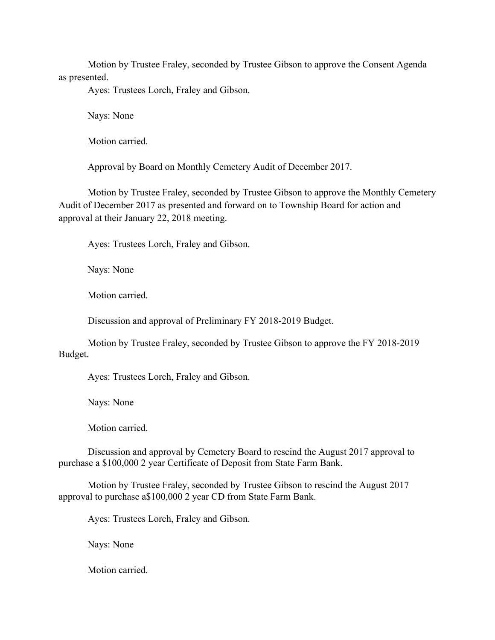Motion by Trustee Fraley, seconded by Trustee Gibson to approve the Consent Agenda as presented.

Ayes: Trustees Lorch, Fraley and Gibson.

Nays: None

Motion carried.

Approval by Board on Monthly Cemetery Audit of December 2017.

Motion by Trustee Fraley, seconded by Trustee Gibson to approve the Monthly Cemetery Audit of December 2017 as presented and forward on to Township Board for action and approval at their January 22, 2018 meeting.

Ayes: Trustees Lorch, Fraley and Gibson.

Nays: None

Motion carried.

Discussion and approval of Preliminary FY 2018-2019 Budget.

Motion by Trustee Fraley, seconded by Trustee Gibson to approve the FY 2018-2019 Budget.

Ayes: Trustees Lorch, Fraley and Gibson.

Nays: None

Motion carried.

Discussion and approval by Cemetery Board to rescind the August 2017 approval to purchase a \$100,000 2 year Certificate of Deposit from State Farm Bank.

Motion by Trustee Fraley, seconded by Trustee Gibson to rescind the August 2017 approval to purchase a\$100,000 2 year CD from State Farm Bank.

Ayes: Trustees Lorch, Fraley and Gibson.

Nays: None

Motion carried.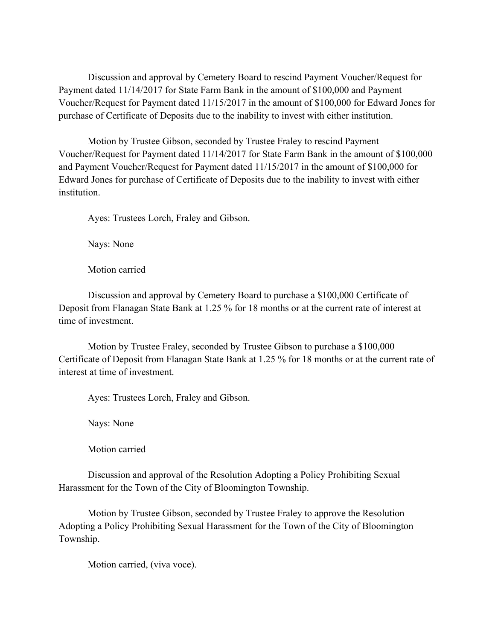Discussion and approval by Cemetery Board to rescind Payment Voucher/Request for Payment dated 11/14/2017 for State Farm Bank in the amount of \$100,000 and Payment Voucher/Request for Payment dated 11/15/2017 in the amount of \$100,000 for Edward Jones for purchase of Certificate of Deposits due to the inability to invest with either institution.

Motion by Trustee Gibson, seconded by Trustee Fraley to rescind Payment Voucher/Request for Payment dated 11/14/2017 for State Farm Bank in the amount of \$100,000 and Payment Voucher/Request for Payment dated 11/15/2017 in the amount of \$100,000 for Edward Jones for purchase of Certificate of Deposits due to the inability to invest with either **institution** 

Ayes: Trustees Lorch, Fraley and Gibson.

Nays: None

Motion carried

Discussion and approval by Cemetery Board to purchase a \$100,000 Certificate of Deposit from Flanagan State Bank at 1.25 % for 18 months or at the current rate of interest at time of investment.

Motion by Trustee Fraley, seconded by Trustee Gibson to purchase a \$100,000 Certificate of Deposit from Flanagan State Bank at 1.25 % for 18 months or at the current rate of interest at time of investment.

Ayes: Trustees Lorch, Fraley and Gibson.

Nays: None

Motion carried

Discussion and approval of the Resolution Adopting a Policy Prohibiting Sexual Harassment for the Town of the City of Bloomington Township.

Motion by Trustee Gibson, seconded by Trustee Fraley to approve the Resolution Adopting a Policy Prohibiting Sexual Harassment for the Town of the City of Bloomington Township.

Motion carried, (viva voce).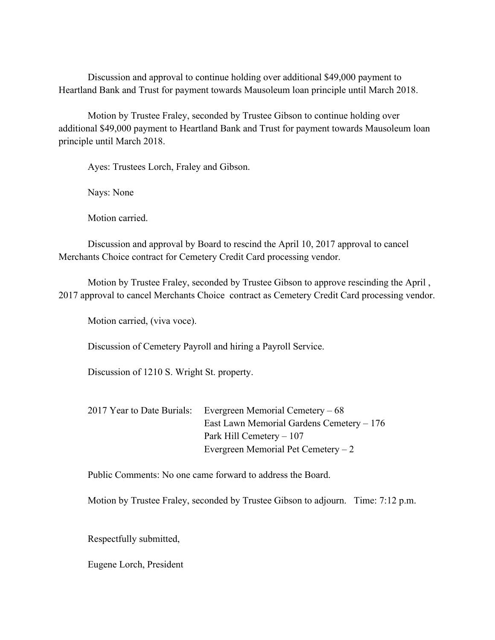Discussion and approval to continue holding over additional \$49,000 payment to Heartland Bank and Trust for payment towards Mausoleum loan principle until March 2018.

Motion by Trustee Fraley, seconded by Trustee Gibson to continue holding over additional \$49,000 payment to Heartland Bank and Trust for payment towards Mausoleum loan principle until March 2018.

Ayes: Trustees Lorch, Fraley and Gibson.

Nays: None

Motion carried.

Discussion and approval by Board to rescind the April 10, 2017 approval to cancel Merchants Choice contract for Cemetery Credit Card processing vendor.

Motion by Trustee Fraley, seconded by Trustee Gibson to approve rescinding the April , 2017 approval to cancel Merchants Choice contract as Cemetery Credit Card processing vendor.

Motion carried, (viva voce).

Discussion of Cemetery Payroll and hiring a Payroll Service.

Discussion of 1210 S. Wright St. property.

|  | 2017 Year to Date Burials: Evergreen Memorial Cemetery – 68 |
|--|-------------------------------------------------------------|
|  | East Lawn Memorial Gardens Cemetery – 176                   |
|  | Park Hill Cemetery $-107$                                   |
|  | Evergreen Memorial Pet Cemetery $-2$                        |

Public Comments: No one came forward to address the Board.

Motion by Trustee Fraley, seconded by Trustee Gibson to adjourn. Time: 7:12 p.m.

Respectfully submitted,

Eugene Lorch, President